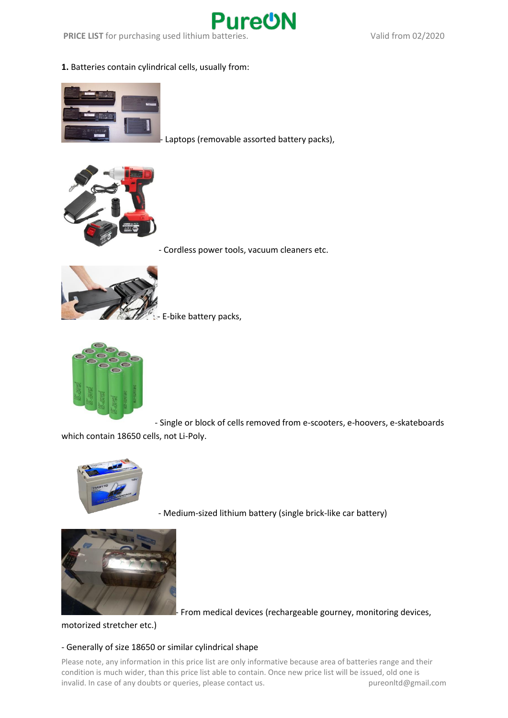

**PRICE LIST** for purchasing used lithium batteries. Valid from 02/2020

**1.** Batteries contain cylindrical cells, usually from:



Laptops (removable assorted battery packs),



- Cordless power tools, vacuum cleaners etc.



E-bike battery packs,



- Single or block of cells removed from e-scooters, e-hoovers, e-skateboards which contain 18650 cells, not Li-Poly.



- Medium-sized lithium battery (single brick-like car battery)



- From medical devices (rechargeable gourney, monitoring devices,

motorized stretcher etc.)

## - Generally of size 18650 or similar cylindrical shape

Please note, any information in this price list are only informative because area of batteries range and their condition is much wider, than this price list able to contain. Once new price list will be issued, old one is invalid. In case of any doubts or queries, please contact us. pureonltd@gmail.com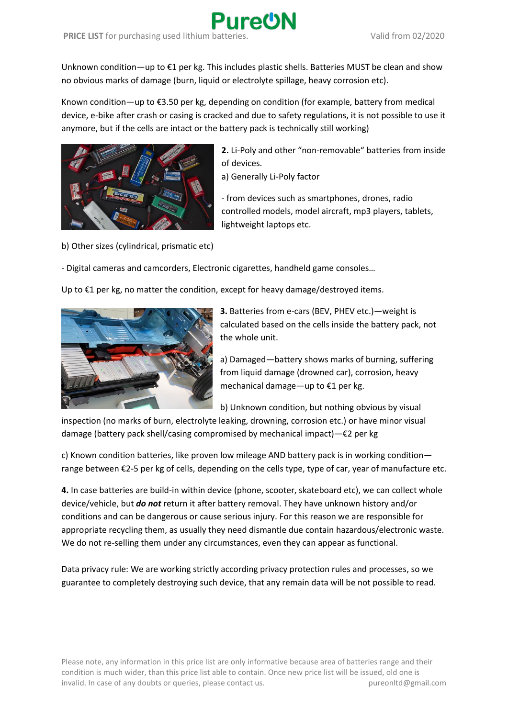Unknown condition—up to €1 per kg. This includes plastic shells. Batteries MUST be clean and show no obvious marks of damage (burn, liquid or electrolyte spillage, heavy corrosion etc).

Known condition—up to €3.50 per kg, depending on condition (for example, battery from medical device, e-bike after crash or casing is cracked and due to safety regulations, it is not possible to use it anymore, but if the cells are intact or the battery pack is technically still working)



**2.** Li-Poly and other "non-removable" batteries from inside of devices.

a) Generally Li-Poly factor

- from devices such as smartphones, drones, radio controlled models, model aircraft, mp3 players, tablets, lightweight laptops etc.

b) Other sizes (cylindrical, prismatic etc)

- Digital cameras and camcorders, Electronic cigarettes, handheld game consoles…

Up to  $\epsilon$ 1 per kg, no matter the condition, except for heavy damage/destroyed items.



**3.** Batteries from e-cars (BEV, PHEV etc.)—weight is calculated based on the cells inside the battery pack, not the whole unit.

a) Damaged—battery shows marks of burning, suffering from liquid damage (drowned car), corrosion, heavy mechanical damage—up to €1 per kg.

b) Unknown condition, but nothing obvious by visual

inspection (no marks of burn, electrolyte leaking, drowning, corrosion etc.) or have minor visual damage (battery pack shell/casing compromised by mechanical impact)—€2 per kg

c) Known condition batteries, like proven low mileage AND battery pack is in working condition range between €2-5 per kg of cells, depending on the cells type, type of car, year of manufacture etc.

**4.** In case batteries are build-in within device (phone, scooter, skateboard etc), we can collect whole device/vehicle, but *do not* return it after battery removal. They have unknown history and/or conditions and can be dangerous or cause serious injury. For this reason we are responsible for appropriate recycling them, as usually they need dismantle due contain hazardous/electronic waste. We do not re-selling them under any circumstances, even they can appear as functional.

Data privacy rule: We are working strictly according privacy protection rules and processes, so we guarantee to completely destroying such device, that any remain data will be not possible to read.